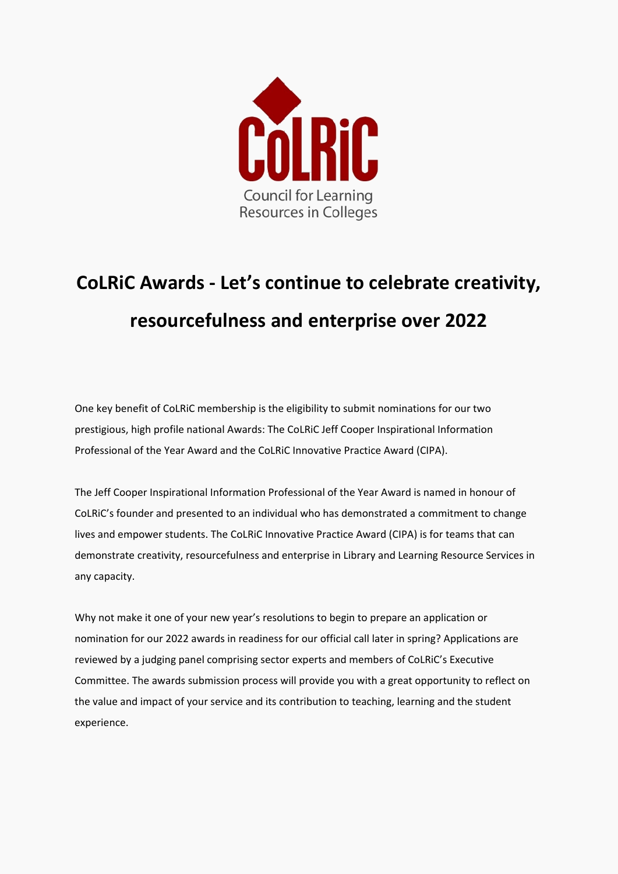

## **CoLRiC Awards - Let's continue to celebrate creativity, resourcefulness and enterprise over 2022**

 One key benefit of CoLRiC membership is the eligibility to submit nominations for our two Professional of the Year Award and the CoLRiC Innovative Practice Award (CIPA). prestigious, high profile national Awards: The CoLRiC Jeff Cooper Inspirational Information

 The Jeff Cooper Inspirational Information Professional of the Year Award is named in honour of lives and empower students. The CoLRiC Innovative Practice Award (CIPA) is for teams that can CoLRiC's founder and presented to an individual who has demonstrated a commitment to change demonstrate creativity, resourcefulness and enterprise in Library and Learning Resource Services in any capacity.

 Why not make it one of your new year's resolutions to begin to prepare an application or reviewed by a judging panel comprising sector experts and members of CoLRiC's Executive Committee. The awards submission process will provide you with a great opportunity to reflect on nomination for our 2022 awards in readiness for our official call later in spring? Applications are the value and impact of your service and its contribution to teaching, learning and the student experience.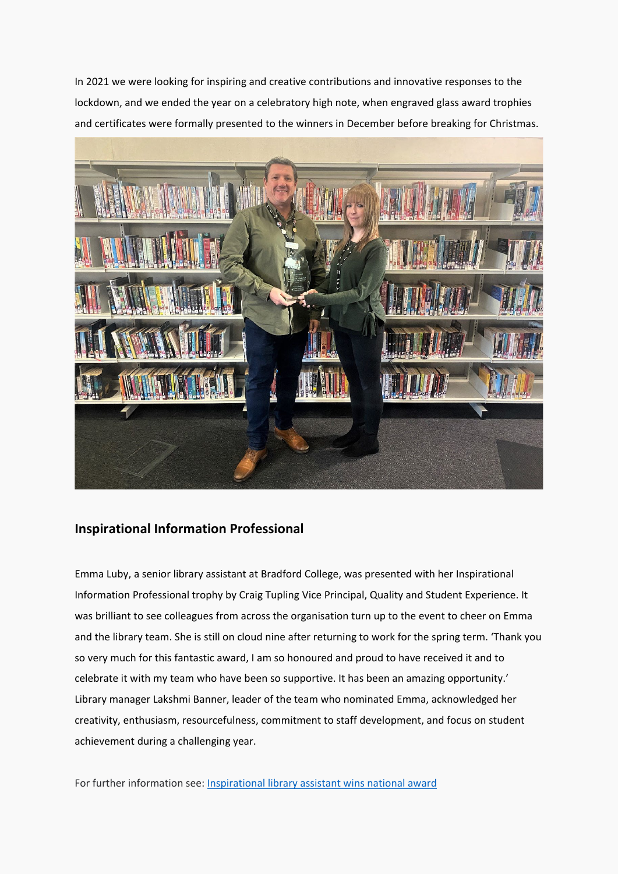and certificates were formally presented to the winners in December before breaking for Christmas. In 2021 we were looking for inspiring and creative contributions and innovative responses to the lockdown, and we ended the year on a celebratory high note, when engraved glass award trophies



## **Inspirational Information Professional**

 Emma Luby, a senior library assistant at Bradford College, was presented with her Inspirational Information Professional trophy by Craig Tupling Vice Principal, Quality and Student Experience. It was brilliant to see colleagues from across the organisation turn up to the event to cheer on Emma and the library team. She is still on cloud nine after returning to work for the spring term. 'Thank you celebrate it with my team who have been so supportive. It has been an amazing opportunity.' so very much for this fantastic award, I am so honoured and proud to have received it and to Library manager Lakshmi Banner, leader of the team who nominated Emma, acknowledged her creativity, enthusiasm, resourcefulness, commitment to staff development, and focus on student achievement during a challenging year.

For further information see[: Inspirational library assistant wins national award](https://www.bradfordcollege.ac.uk/news/inspirational-library-assistant-wins-national-award/)